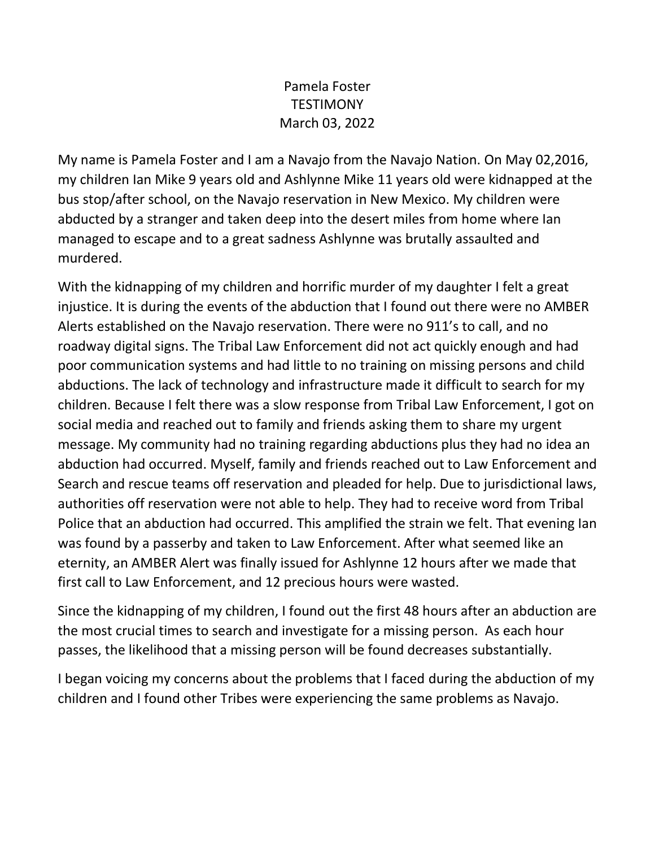## Pamela Foster **TESTIMONY** March 03, 2022

My name is Pamela Foster and I am a Navajo from the Navajo Nation. On May 02,2016, my children Ian Mike 9 years old and Ashlynne Mike 11 years old were kidnapped at the bus stop/after school, on the Navajo reservation in New Mexico. My children were abducted by a stranger and taken deep into the desert miles from home where Ian managed to escape and to a great sadness Ashlynne was brutally assaulted and murdered.

With the kidnapping of my children and horrific murder of my daughter I felt a great injustice. It is during the events of the abduction that I found out there were no AMBER Alerts established on the Navajo reservation. There were no 911's to call, and no roadway digital signs. The Tribal Law Enforcement did not act quickly enough and had poor communication systems and had little to no training on missing persons and child abductions. The lack of technology and infrastructure made it difficult to search for my children. Because I felt there was a slow response from Tribal Law Enforcement, I got on social media and reached out to family and friends asking them to share my urgent message. My community had no training regarding abductions plus they had no idea an abduction had occurred. Myself, family and friends reached out to Law Enforcement and Search and rescue teams off reservation and pleaded for help. Due to jurisdictional laws, authorities off reservation were not able to help. They had to receive word from Tribal Police that an abduction had occurred. This amplified the strain we felt. That evening Ian was found by a passerby and taken to Law Enforcement. After what seemed like an eternity, an AMBER Alert was finally issued for Ashlynne 12 hours after we made that first call to Law Enforcement, and 12 precious hours were wasted.

Since the kidnapping of my children, I found out the first 48 hours after an abduction are the most crucial times to search and investigate for a missing person. As each hour passes, the likelihood that a missing person will be found decreases substantially.

I began voicing my concerns about the problems that I faced during the abduction of my children and I found other Tribes were experiencing the same problems as Navajo.